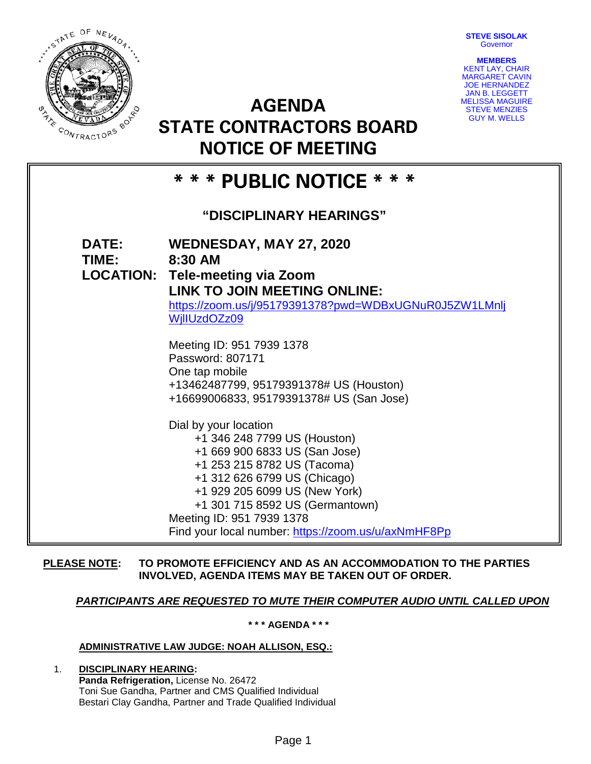**STEVE SISOLAK Governor** 



**AGENDA STATE CONTRACTORS BOARD NOTICE OF MEETING**



# **\* \* \* PUBLIC NOTICE \* \* \***

# **"DISCIPLINARY HEARINGS"**

**DATE: WEDNESDAY, MAY 27, 2020 TIME: 8:30 AM LOCATION: Tele-meeting via Zoom LINK TO JOIN MEETING ONLINE:**  [https://zoom.us/j/95179391378?pwd=WDBxUGNuR0J5ZW1LMnlj](https://zoom.us/j/95179391378?pwd=WDBxUGNuR0J5ZW1LMnljWjlIUzdOZz09) [WjlIUzdOZz09](https://zoom.us/j/95179391378?pwd=WDBxUGNuR0J5ZW1LMnljWjlIUzdOZz09) Meeting ID: 951 7939 1378 Password: 807171 One tap mobile +13462487799, 95179391378# US (Houston) +16699006833, 95179391378# US (San Jose) Dial by your location +1 346 248 7799 US (Houston) +1 669 900 6833 US (San Jose) +1 253 215 8782 US (Tacoma) +1 312 626 6799 US (Chicago) +1 929 205 6099 US (New York) +1 301 715 8592 US (Germantown) Meeting ID: 951 7939 1378 Find your local number:<https://zoom.us/u/axNmHF8Pp>

## **PLEASE NOTE: TO PROMOTE EFFICIENCY AND AS AN ACCOMMODATION TO THE PARTIES INVOLVED, AGENDA ITEMS MAY BE TAKEN OUT OF ORDER.**

## *PARTICIPANTS ARE REQUESTED TO MUTE THEIR COMPUTER AUDIO UNTIL CALLED UPON*

**\* \* \* AGENDA \* \* \***

## **ADMINISTRATIVE LAW JUDGE: NOAH ALLISON, ESQ.:**

1. **DISCIPLINARY HEARING: Panda Refrigeration,** License No. 26472 Toni Sue Gandha, Partner and CMS Qualified Individual Bestari Clay Gandha, Partner and Trade Qualified Individual